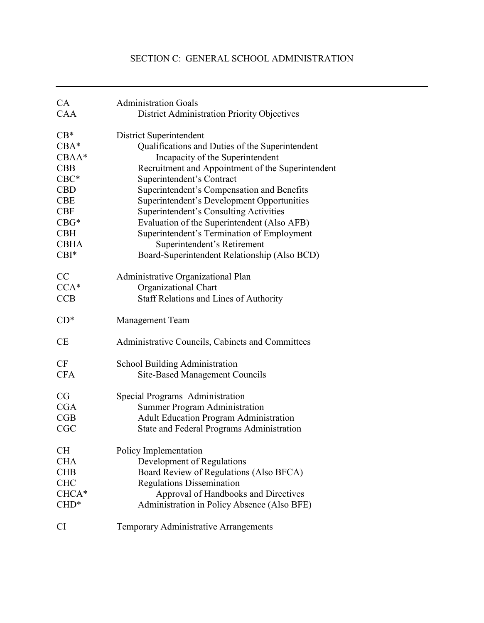# SECTION C: GENERAL SCHOOL ADMINISTRATION

| CA          | <b>Administration Goals</b>                        |
|-------------|----------------------------------------------------|
| <b>CAA</b>  | <b>District Administration Priority Objectives</b> |
| $CB*$       | <b>District Superintendent</b>                     |
| $CBA*$      | Qualifications and Duties of the Superintendent    |
| $CBAA*$     | Incapacity of the Superintendent                   |
| <b>CBB</b>  | Recruitment and Appointment of the Superintendent  |
| $CBC*$      | Superintendent's Contract                          |
| <b>CBD</b>  | Superintendent's Compensation and Benefits         |
| <b>CBE</b>  | Superintendent's Development Opportunities         |
| <b>CBF</b>  | Superintendent's Consulting Activities             |
| $CBG*$      | Evaluation of the Superintendent (Also AFB)        |
| <b>CBH</b>  | Superintendent's Termination of Employment         |
| <b>CBHA</b> | Superintendent's Retirement                        |
| $CBI^*$     | Board-Superintendent Relationship (Also BCD)       |
| CC          | Administrative Organizational Plan                 |
| $CCA*$      | Organizational Chart                               |
| CCB         | <b>Staff Relations and Lines of Authority</b>      |
| $CD^*$      | <b>Management Team</b>                             |
| CE          | Administrative Councils, Cabinets and Committees   |
| CF          | <b>School Building Administration</b>              |
| <b>CFA</b>  | <b>Site-Based Management Councils</b>              |
| CG          | Special Programs Administration                    |
| <b>CGA</b>  | <b>Summer Program Administration</b>               |
| CGB         | <b>Adult Education Program Administration</b>      |
| CGC         | State and Federal Programs Administration          |
| СH          | Policy Implementation                              |
| <b>CHA</b>  | Development of Regulations                         |
| <b>CHB</b>  | Board Review of Regulations (Also BFCA)            |
| <b>CHC</b>  | <b>Regulations Dissemination</b>                   |
| CHCA*       | Approval of Handbooks and Directives               |
| $CHD*$      | Administration in Policy Absence (Also BFE)        |
| <b>CI</b>   | Temporary Administrative Arrangements              |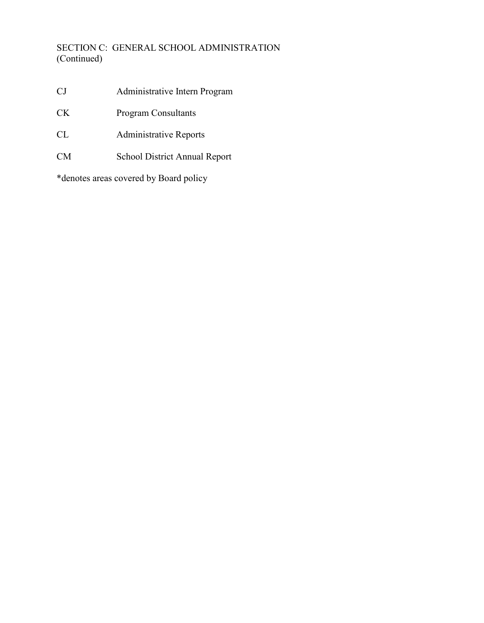# SECTION C: GENERAL SCHOOL ADMINISTRATION (Continued)

- CJ Administrative Intern Program
- CK Program Consultants
- CL Administrative Reports
- CM School District Annual Report

\*denotes areas covered by Board policy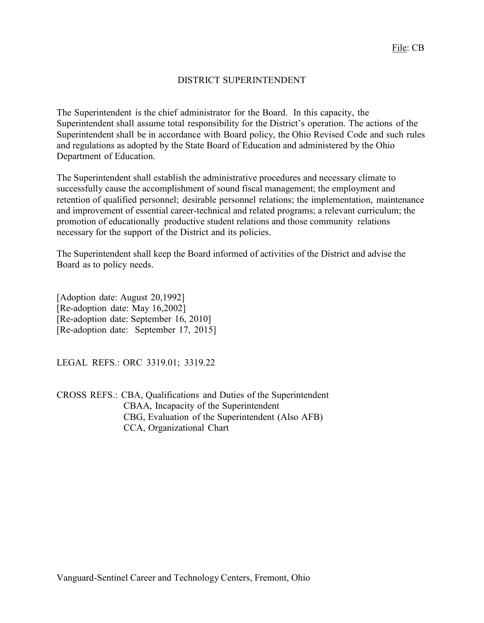### DISTRICT SUPERINTENDENT

The Superintendent is the chief administrator for the Board. In this capacity, the Superintendent shall assume total responsibility for the District's operation. The actions of the Superintendent shall be in accordance with Board policy, the Ohio Revised Code and such rules and regulations as adopted by the State Board of Education and administered by the Ohio Department of Education.

The Superintendent shall establish the administrative procedures and necessary climate to successfully cause the accomplishment of sound fiscal management; the employment and retention of qualified personnel; desirable personnel relations; the implementation, maintenance and improvement of essential career-technical and related programs; a relevant curriculum; the promotion of educationally productive student relations and those community relations necessary for the support of the District and its policies.

The Superintendent shall keep the Board informed of activities of the District and advise the Board as to policy needs.

[Adoption date: August 20,1992] [Re-adoption date: May 16,2002] [Re-adoption date: September 16, 2010] [Re-adoption date: September 17, 2015]

LEGAL REFS.: ORC 3319.01; 3319.22

CROSS REFS.: CBA, Qualifications and Duties of the Superintendent CBAA, Incapacity of the Superintendent CBG, Evaluation of the Superintendent (Also AFB) CCA, Organizational Chart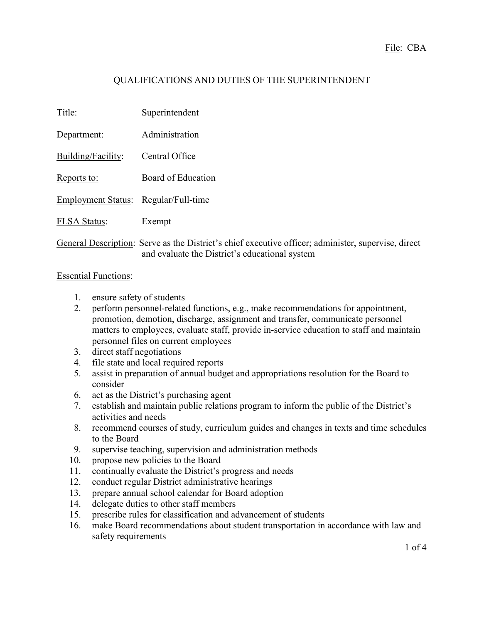# QUALIFICATIONS AND DUTIES OF THE SUPERINTENDENT

| Title:                               | Superintendent                                                                                      |
|--------------------------------------|-----------------------------------------------------------------------------------------------------|
| Department:                          | Administration                                                                                      |
| Building/Facility:                   | Central Office                                                                                      |
| Reports to:                          | Board of Education                                                                                  |
| Employment Status: Regular/Full-time |                                                                                                     |
| <b>FLSA Status:</b>                  | Exempt                                                                                              |
|                                      | General Description: Serve as the District's chief executive officer; administer, supervise, direct |

and evaluate the District's educational system

#### Essential Functions:

- 1. ensure safety of students
- 2. perform personnel-related functions, e.g., make recommendations for appointment, promotion, demotion, discharge, assignment and transfer, communicate personnel matters to employees, evaluate staff, provide in-service education to staff and maintain personnel files on current employees
- 3. direct staff negotiations
- 4. file state and local required reports
- 5. assist in preparation of annual budget and appropriations resolution for the Board to consider
- 6. act as the District's purchasing agent
- 7. establish and maintain public relations program to inform the public of the District's activities and needs
- 8. recommend courses of study, curriculum guides and changes in texts and time schedules to the Board
- 9. supervise teaching, supervision and administration methods
- 10. propose new policies to the Board
- 11. continually evaluate the District's progress and needs
- 12. conduct regular District administrative hearings
- 13. prepare annual school calendar for Board adoption
- 14. delegate duties to other staff members
- 15. prescribe rules for classification and advancement of students
- 16. make Board recommendations about student transportation in accordance with law and safety requirements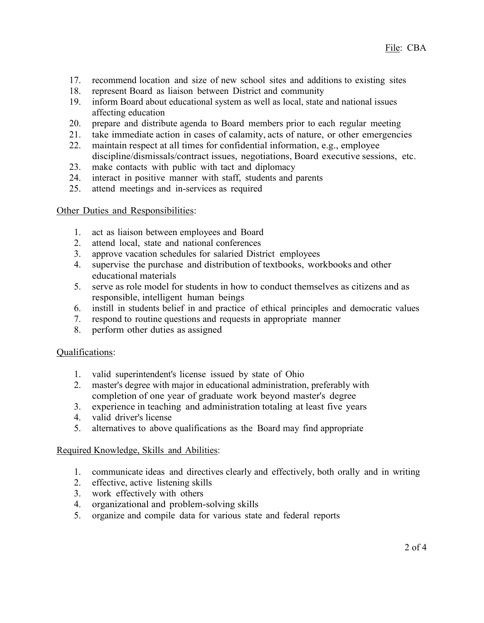- 17. recommend location and size of new school sites and additions to existing sites 18. represent Board as liaison between District and community
- represent Board as liaison between District and community
- 19. inform Board about educational system as well as local, state and national issues affecting education
- 20. prepare and distribute agenda to Board members prior to each regular meeting
- 21. take immediate action in cases of calamity, acts of nature, or other emergencies
- 22. maintain respect at all times for confidential information, e.g., employee discipline/dismissals/contract issues, negotiations, Board executive sessions, etc.
- 23. make contacts with public with tact and diplomacy
- 24. interact in positive manner with staff, students and parents
- 25. attend meetings and in-services as required

### Other Duties and Responsibilities:

- 1. act as liaison between employees and Board
- 2. attend local, state and national conferences
- 3. approve vacation schedules for salaried District employees
- 4. supervise the purchase and distribution of textbooks, workbooks and other educational materials
- 5. serve as role model for students in how to conduct themselves as citizens and as responsible, intelligent human beings
- 6. instill in students belief in and practice of ethical principles and democratic values
- 7. respond to routine questions and requests in appropriate manner
- 8. perform other duties as assigned

### Qualifications:

- 1. valid superintendent's license issued by state of Ohio
- 2. master's degree with major in educational administration, preferably with completion of one year of graduate work beyond master's degree
- 3. experience in teaching and administration totaling at least five years
- 4. valid driver's license
- 5. alternatives to above qualifications as the Board may find appropriate

### Required Knowledge, Skills and Abilities:

- 1. communicate ideas and directives clearly and effectively, both orally and in writing
- 2. effective, active listening skills
- 3. work effectively with others
- 4. organizational and problem-solving skills
- 5. organize and compile data for various state and federal reports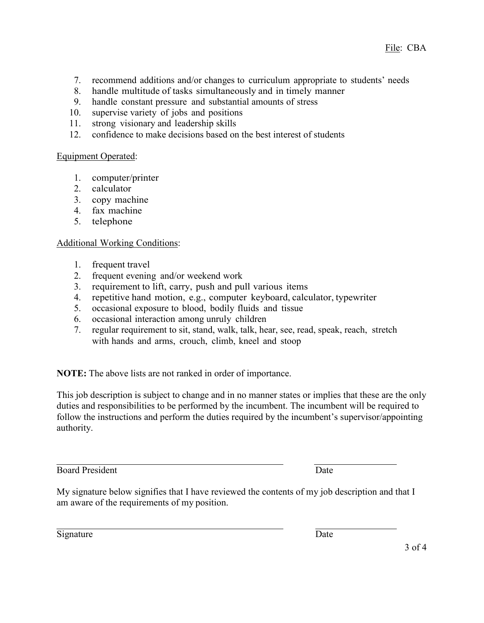- 7. recommend additions and/or changes to curriculum appropriate to students' needs
- 8. handle multitude of tasks simultaneously and in timely manner
- 9. handle constant pressure and substantial amounts of stress
- 10. supervise variety of jobs and positions
- 11. strong visionary and leadership skills
- 12. confidence to make decisions based on the best interest of students

### Equipment Operated:

- 1. computer/printer
- 2. calculator
- 3. copy machine
- 4. fax machine
- 5. telephone

### Additional Working Conditions:

- 1. frequent travel
- 2. frequent evening and/or weekend work
- 3. requirement to lift, carry, push and pull various items
- 4. repetitive hand motion, e.g., computer keyboard, calculator, typewriter
- 5. occasional exposure to blood, bodily fluids and tissue
- 6. occasional interaction among unruly children
- 7. regular requirement to sit, stand, walk, talk, hear, see, read, speak, reach, stretch with hands and arms, crouch, climb, kneel and stoop

**NOTE:** The above lists are not ranked in order of importance.

This job description is subject to change and in no manner states or implies that these are the only duties and responsibilities to be performed by the incumbent. The incumbent will be required to follow the instructions and perform the duties required by the incumbent's supervisor/appointing authority.

Board President Date

My signature below signifies that I have reviewed the contents of my job description and that I am aware of the requirements of my position.

Signature Date

3 of 4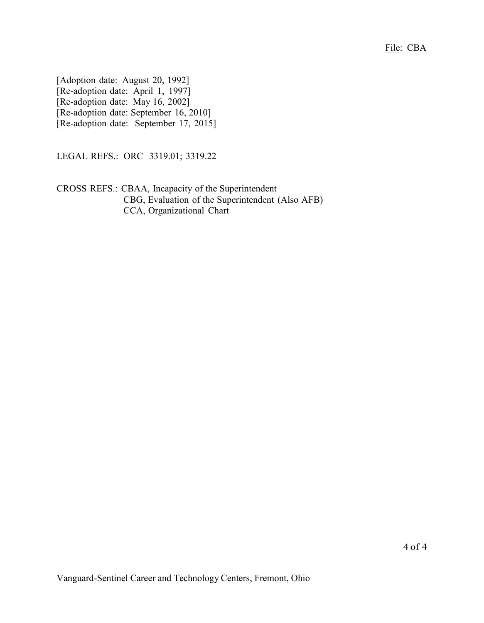File: CBA

[Adoption date: August 20, 1992] [Re-adoption date: April 1, 1997] [Re-adoption date: May 16, 2002] [Re-adoption date: September 16, 2010] [Re-adoption date: September 17, 2015]

LEGAL REFS.: ORC 3319.01; 3319.22

CROSS REFS.: CBAA, Incapacity of the Superintendent CBG, Evaluation of the Superintendent (Also AFB) CCA, Organizational Chart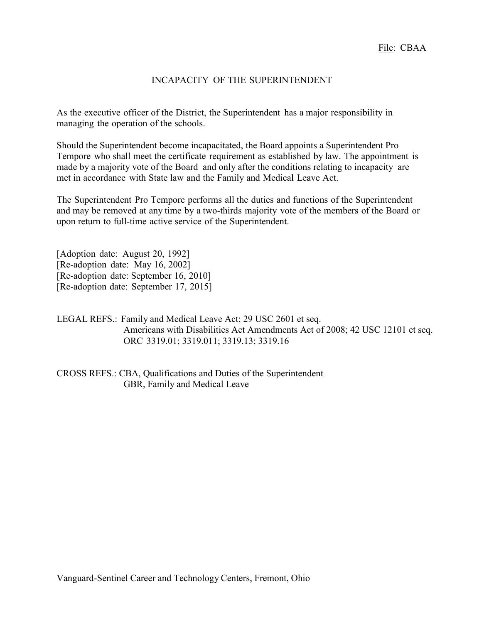### INCAPACITY OF THE SUPERINTENDENT

As the executive officer of the District, the Superintendent has a major responsibility in managing the operation of the schools.

Should the Superintendent become incapacitated, the Board appoints a Superintendent Pro Tempore who shall meet the certificate requirement as established by law. The appointment is made by a majority vote of the Board and only after the conditions relating to incapacity are met in accordance with State law and the Family and Medical Leave Act.

The Superintendent Pro Tempore performs all the duties and functions of the Superintendent and may be removed at any time by a two-thirds majority vote of the members of the Board or upon return to full-time active service of the Superintendent.

[Adoption date: August 20, 1992] [Re-adoption date: May 16, 2002] [Re-adoption date: September 16, 2010] [Re-adoption date: September 17, 2015]

LEGAL REFS.: Family and Medical Leave Act; 29 USC 2601 et seq. Americans with Disabilities Act Amendments Act of 2008; 42 USC 12101 et seq. ORC 3319.01; 3319.011; 3319.13; 3319.16

CROSS REFS.: CBA, Qualifications and Duties of the Superintendent GBR, Family and Medical Leave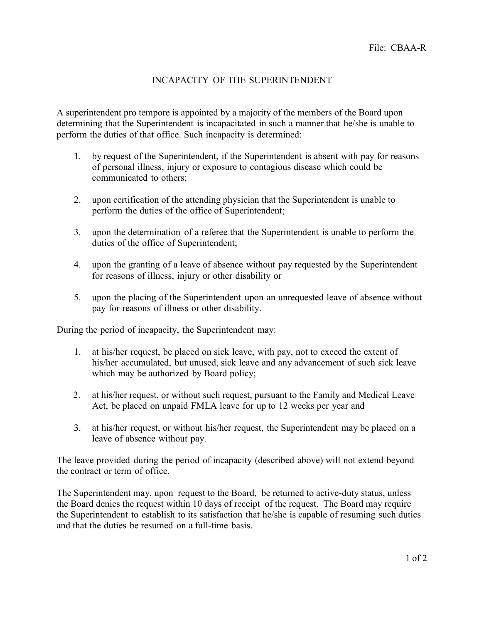### INCAPACITY OF THE SUPERINTENDENT

A superintendent pro tempore is appointed by a majority of the members of the Board upon determining that the Superintendent is incapacitated in such a manner that he/she is unable to perform the duties of that office. Such incapacity is determined:

- 1. by request of the Superintendent, if the Superintendent is absent with pay for reasons of personal illness, injury or exposure to contagious disease which could be communicated to others;
- 2. upon certification of the attending physician that the Superintendent is unable to perform the duties of the office of Superintendent;
- 3. upon the determination of a referee that the Superintendent is unable to perform the duties of the office of Superintendent;
- 4. upon the granting of a leave of absence without pay requested by the Superintendent for reasons of illness, injury or other disability or
- 5. upon the placing of the Superintendent upon an unrequested leave of absence without pay for reasons of illness or other disability.

During the period of incapacity, the Superintendent may:

- 1. at his/her request, be placed on sick leave, with pay, not to exceed the extent of his/her accumulated, but unused, sick leave and any advancement of such sick leave which may be authorized by Board policy;
- 2. at his/her request, or without such request, pursuant to the Family and Medical Leave Act, be placed on unpaid FMLA leave for up to 12 weeks per year and
- 3. at his/her request, or without his/her request, the Superintendent may be placed on a leave of absence without pay.

The leave provided during the period of incapacity (described above) will not extend beyond the contract or term of office.

The Superintendent may, upon request to the Board, be returned to active-duty status, unless the Board denies the request within 10 days of receipt of the request. The Board may require the Superintendent to establish to its satisfaction that he/she is capable of resuming such duties and that the duties be resumed on a full-time basis.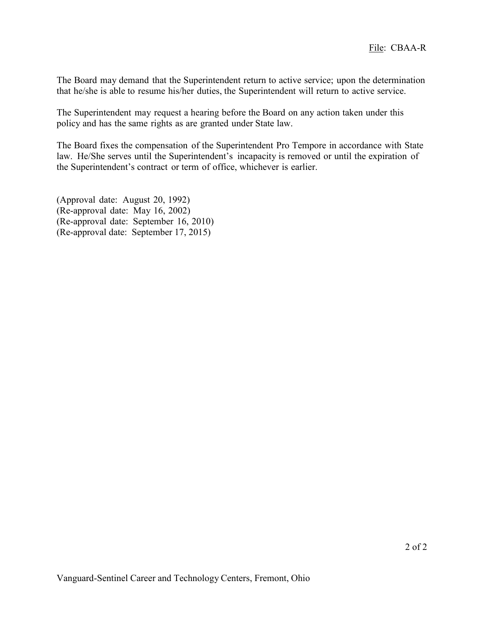The Board may demand that the Superintendent return to active service; upon the determination that he/she is able to resume his/her duties, the Superintendent will return to active service.

The Superintendent may request a hearing before the Board on any action taken under this policy and has the same rights as are granted under State law.

The Board fixes the compensation of the Superintendent Pro Tempore in accordance with State law. He/She serves until the Superintendent's incapacity is removed or until the expiration of the Superintendent's contract or term of office, whichever is earlier.

(Approval date: August 20, 1992) (Re-approval date: May 16, 2002) (Re-approval date: September 16, 2010) (Re-approval date: September 17, 2015)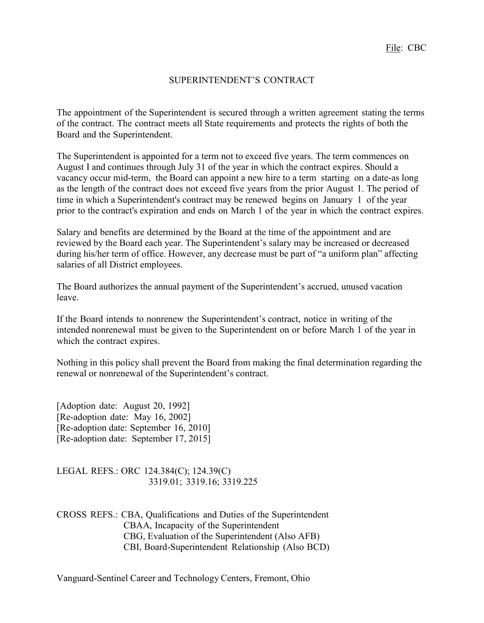### SUPERINTENDENT'S CONTRACT

The appointment of the Superintendent is secured through a written agreement stating the terms of the contract. The contract meets all State requirements and protects the rights of both the Board and the Superintendent.

The Superintendent is appointed for a term not to exceed five years. The term commences on August I and continues through July 31 of the year in which the contract expires. Should a vacancy occur mid-term, the Board can appoint a new hire to a term starting on a date-as long as the length of the contract does not exceed five years from the prior August 1. The period of time in which a Superintendent's contract may be renewed begins on January 1 of the year prior to the contract's expiration and ends on March 1 of the year in which the contract expires.

Salary and benefits are determined by the Board at the time of the appointment and are reviewed by the Board each year. The Superintendent's salary may be increased or decreased during his/her term of office. However, any decrease must be part of "a uniform plan" affecting salaries of all District employees.

The Board authorizes the annual payment of the Superintendent's accrued, unused vacation leave.

If the Board intends to nonrenew the Superintendent's contract, notice in writing of the intended nonrenewal must be given to the Superintendent on or before March 1 of the year in which the contract expires.

Nothing in this policy shall prevent the Board from making the final determination regarding the renewal or nonrenewal of the Superintendent's contract.

[Adoption date: August 20, 1992] [Re-adoption date: May 16, 2002] [Re-adoption date: September 16, 2010] [Re-adoption date: September 17, 2015]

LEGAL REFS.: ORC 124.384(C); 124.39(C) 3319.01; 3319.16; 3319.225

CROSS REFS.: CBA, Qualifications and Duties of the Superintendent CBAA, Incapacity of the Superintendent CBG, Evaluation of the Superintendent (Also AFB) CBI, Board-Superintendent Relationship (Also BCD)

Vanguard-Sentinel Career and Technology Centers, Fremont, Ohio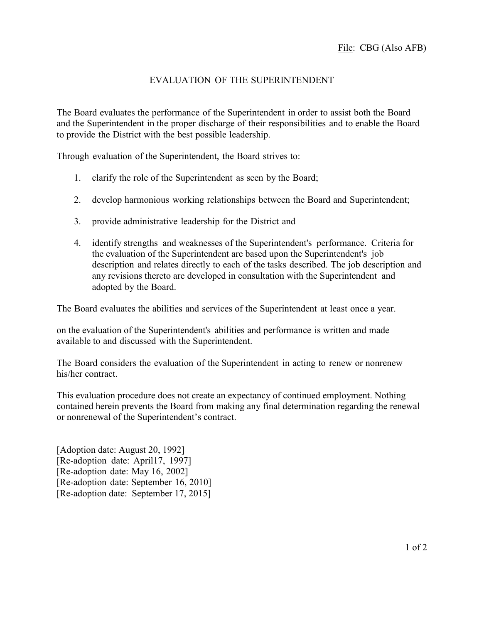# EVALUATION OF THE SUPERINTENDENT

The Board evaluates the performance of the Superintendent in order to assist both the Board and the Superintendent in the proper discharge of their responsibilities and to enable the Board to provide the District with the best possible leadership.

Through evaluation of the Superintendent, the Board strives to:

- 1. clarify the role of the Superintendent as seen by the Board;
- 2. develop harmonious working relationships between the Board and Superintendent;
- 3. provide administrative leadership for the District and
- 4. identify strengths and weaknesses of the Superintendent's performance. Criteria for the evaluation of the Superintendent are based upon the Superintendent's job description and relates directly to each of the tasks described. The job description and any revisions thereto are developed in consultation with the Superintendent and adopted by the Board.

The Board evaluates the abilities and services of the Superintendent at least once a year.

on the evaluation of the Superintendent's abilities and performance is written and made available to and discussed with the Superintendent.

The Board considers the evaluation of the Superintendent in acting to renew or nonrenew his/her contract.

This evaluation procedure does not create an expectancy of continued employment. Nothing contained herein prevents the Board from making any final determination regarding the renewal or nonrenewal of the Superintendent's contract.

[Adoption date: August 20, 1992] [Re-adoption date: April17, 1997] [Re-adoption date: May 16, 2002] [Re-adoption date: September 16, 2010] [Re-adoption date: September 17, 2015]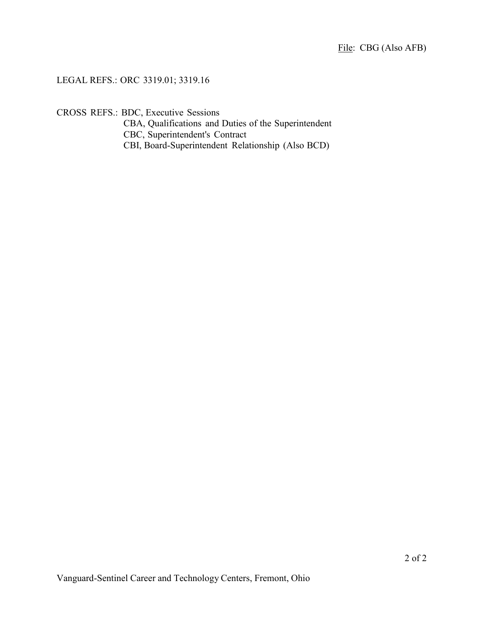# LEGAL REFS.: ORC 3319.01; 3319.16

CROSS REFS.: BDC, Executive Sessions

CBA, Qualifications and Duties of the Superintendent CBC, Superintendent's Contract CBI, Board-Superintendent Relationship (Also BCD)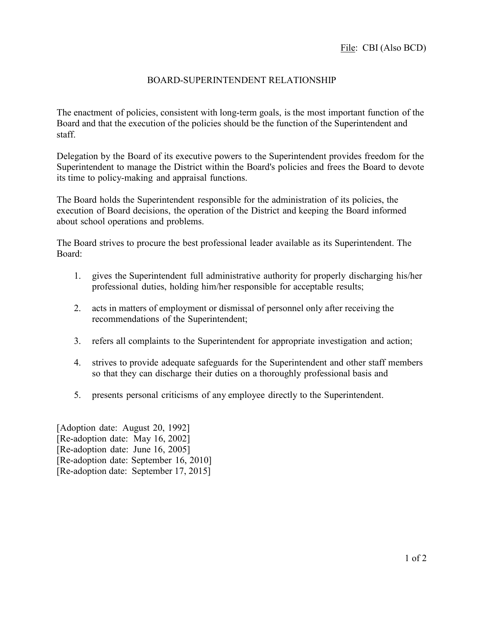# BOARD-SUPERINTENDENT RELATIONSHIP

The enactment of policies, consistent with long-term goals, is the most important function of the Board and that the execution of the policies should be the function of the Superintendent and staff.

Delegation by the Board of its executive powers to the Superintendent provides freedom for the Superintendent to manage the District within the Board's policies and frees the Board to devote its time to policy-making and appraisal functions.

The Board holds the Superintendent responsible for the administration of its policies, the execution of Board decisions, the operation of the District and keeping the Board informed about school operations and problems.

The Board strives to procure the best professional leader available as its Superintendent. The Board:

- 1. gives the Superintendent full administrative authority for properly discharging his/her professional duties, holding him/her responsible for acceptable results;
- 2. acts in matters of employment or dismissal of personnel only after receiving the recommendations of the Superintendent;
- 3. refers all complaints to the Superintendent for appropriate investigation and action;
- 4. strives to provide adequate safeguards for the Superintendent and other staff members so that they can discharge their duties on a thoroughly professional basis and
- 5. presents personal criticisms of any employee directly to the Superintendent.

[Adoption date: August 20, 1992] [Re-adoption date: May 16, 2002] [Re-adoption date: June 16, 2005] [Re-adoption date: September 16, 2010] [Re-adoption date: September 17, 2015]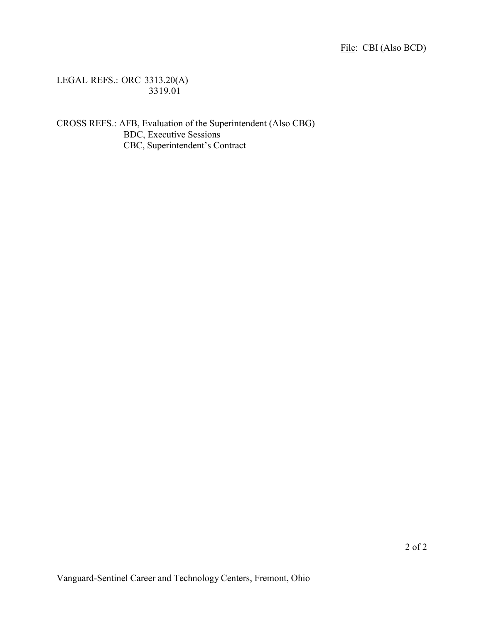LEGAL REFS.: ORC 3313.20(A) 3319.01

CROSS REFS.: AFB, Evaluation of the Superintendent (Also CBG) BDC, Executive Sessions CBC, Superintendent's Contract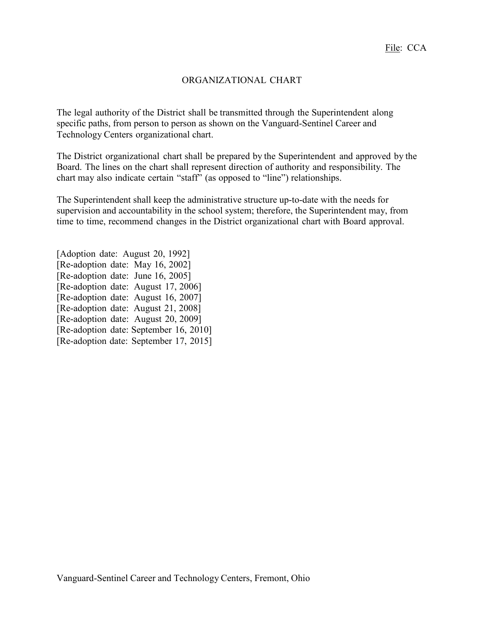# ORGANIZATIONAL CHART

The legal authority of the District shall be transmitted through the Superintendent along specific paths, from person to person as shown on the Vanguard-Sentinel Career and Technology Centers organizational chart.

The District organizational chart shall be prepared by the Superintendent and approved by the Board. The lines on the chart shall represent direction of authority and responsibility. The chart may also indicate certain "staff" (as opposed to "line") relationships.

The Superintendent shall keep the administrative structure up-to-date with the needs for supervision and accountability in the school system; therefore, the Superintendent may, from time to time, recommend changes in the District organizational chart with Board approval.

[Adoption date: August 20, 1992] [Re-adoption date: May 16, 2002] [Re-adoption date: June 16, 2005] [Re-adoption date: August 17, 2006] [Re-adoption date: August 16, 2007] [Re-adoption date: August 21, 2008] [Re-adoption date: August 20, 2009] [Re-adoption date: September 16, 2010] [Re-adoption date: September 17, 2015]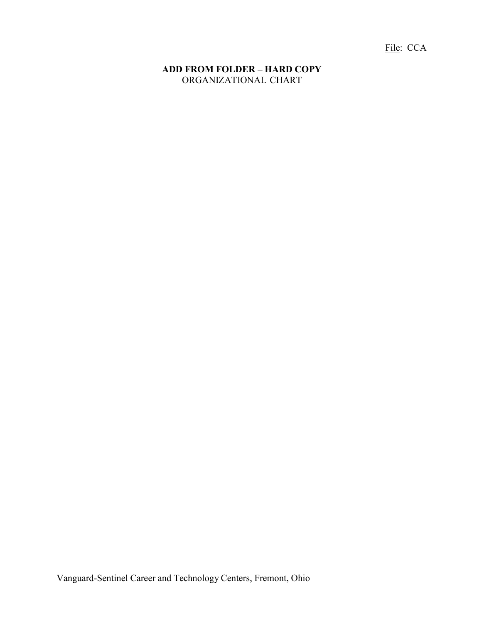File: CCA

### **ADD FROM FOLDER – HARD COPY** ORGANIZATIONAL CHART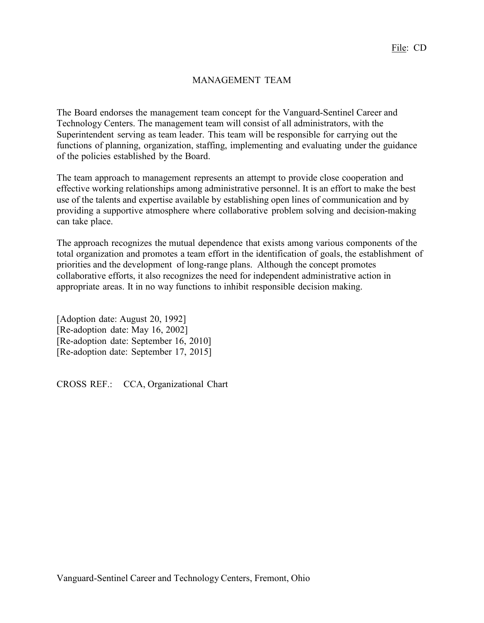# MANAGEMENT TEAM

The Board endorses the management team concept for the Vanguard-Sentinel Career and Technology Centers. The management team will consist of all administrators, with the Superintendent serving as team leader. This team will be responsible for carrying out the functions of planning, organization, staffing, implementing and evaluating under the guidance of the policies established by the Board.

The team approach to management represents an attempt to provide close cooperation and effective working relationships among administrative personnel. It is an effort to make the best use of the talents and expertise available by establishing open lines of communication and by providing a supportive atmosphere where collaborative problem solving and decision-making can take place.

The approach recognizes the mutual dependence that exists among various components of the total organization and promotes a team effort in the identification of goals, the establishment of priorities and the development of long-range plans. Although the concept promotes collaborative efforts, it also recognizes the need for independent administrative action in appropriate areas. It in no way functions to inhibit responsible decision making.

[Adoption date: August 20, 1992] [Re-adoption date: May 16, 2002] [Re-adoption date: September 16, 2010] [Re-adoption date: September 17, 2015]

CROSS REF.: CCA, Organizational Chart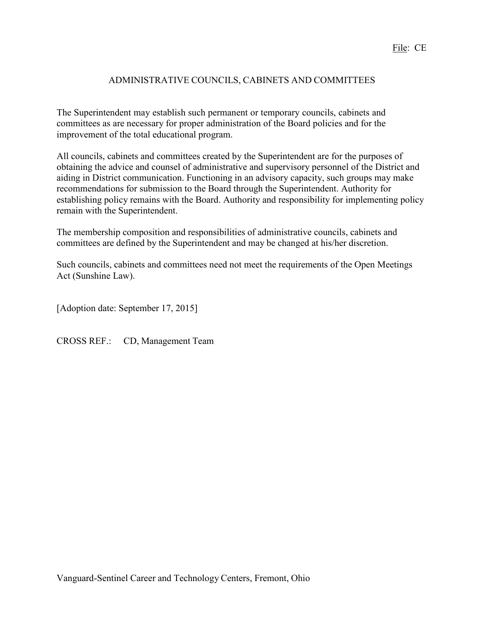# ADMINISTRATIVE COUNCILS, CABINETS AND COMMITTEES

The Superintendent may establish such permanent or temporary councils, cabinets and committees as are necessary for proper administration of the Board policies and for the improvement of the total educational program.

All councils, cabinets and committees created by the Superintendent are for the purposes of obtaining the advice and counsel of administrative and supervisory personnel of the District and aiding in District communication. Functioning in an advisory capacity, such groups may make recommendations for submission to the Board through the Superintendent. Authority for establishing policy remains with the Board. Authority and responsibility for implementing policy remain with the Superintendent.

The membership composition and responsibilities of administrative councils, cabinets and committees are defined by the Superintendent and may be changed at his/her discretion.

Such councils, cabinets and committees need not meet the requirements of the Open Meetings Act (Sunshine Law).

[Adoption date: September 17, 2015]

CROSS REF.: CD, Management Team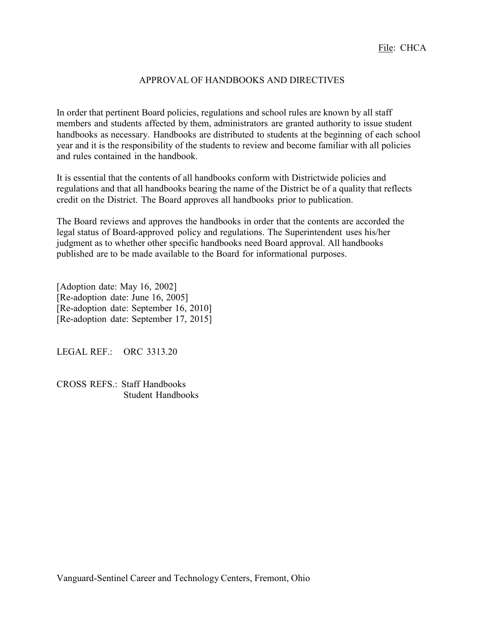### APPROVAL OF HANDBOOKS AND DIRECTIVES

In order that pertinent Board policies, regulations and school rules are known by all staff members and students affected by them, administrators are granted authority to issue student handbooks as necessary. Handbooks are distributed to students at the beginning of each school year and it is the responsibility of the students to review and become familiar with all policies and rules contained in the handbook.

It is essential that the contents of all handbooks conform with Districtwide policies and regulations and that all handbooks bearing the name of the District be of a quality that reflects credit on the District. The Board approves all handbooks prior to publication.

The Board reviews and approves the handbooks in order that the contents are accorded the legal status of Board-approved policy and regulations. The Superintendent uses his/her judgment as to whether other specific handbooks need Board approval. All handbooks published are to be made available to the Board for informational purposes.

[Adoption date: May 16, 2002] [Re-adoption date: June 16, 2005] [Re-adoption date: September 16, 2010] [Re-adoption date: September 17, 2015]

LEGAL REF.: ORC 3313.20

CROSS REFS.: Staff Handbooks Student Handbooks